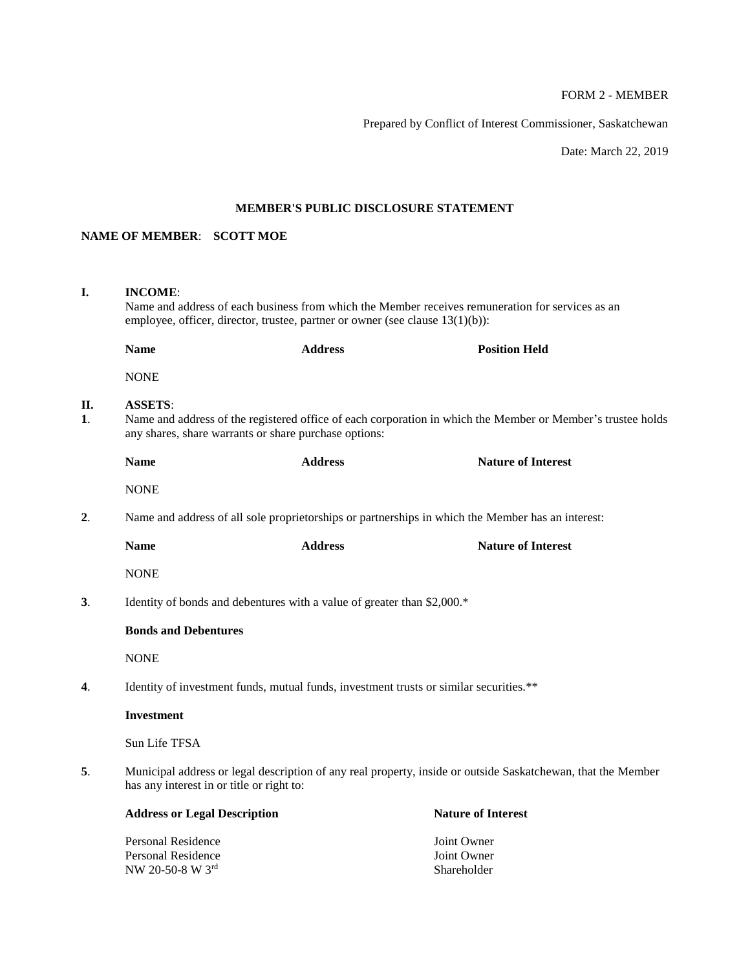# FORM 2 - MEMBER

Prepared by Conflict of Interest Commissioner, Saskatchewan

Date: March 22, 2019

# **MEMBER'S PUBLIC DISCLOSURE STATEMENT**

# **NAME OF MEMBER**: **SCOTT MOE**

| I.                                                                                                                                                              | <b>INCOME:</b><br>Name and address of each business from which the Member receives remuneration for services as an<br>employee, officer, director, trustee, partner or owner (see clause $13(1)(b)$ ): |                |                           |  |
|-----------------------------------------------------------------------------------------------------------------------------------------------------------------|--------------------------------------------------------------------------------------------------------------------------------------------------------------------------------------------------------|----------------|---------------------------|--|
|                                                                                                                                                                 | <b>Name</b>                                                                                                                                                                                            | <b>Address</b> | <b>Position Held</b>      |  |
|                                                                                                                                                                 | <b>NONE</b>                                                                                                                                                                                            |                |                           |  |
| П.<br>$\mathbf{1}$ .                                                                                                                                            | <b>ASSETS:</b><br>Name and address of the registered office of each corporation in which the Member or Member's trustee holds<br>any shares, share warrants or share purchase options:                 |                |                           |  |
|                                                                                                                                                                 | <b>Name</b>                                                                                                                                                                                            | <b>Address</b> | <b>Nature of Interest</b> |  |
|                                                                                                                                                                 | <b>NONE</b>                                                                                                                                                                                            |                |                           |  |
| 2.                                                                                                                                                              | Name and address of all sole proprietorships or partnerships in which the Member has an interest:                                                                                                      |                |                           |  |
|                                                                                                                                                                 | <b>Name</b>                                                                                                                                                                                            | <b>Address</b> | <b>Nature of Interest</b> |  |
|                                                                                                                                                                 | <b>NONE</b>                                                                                                                                                                                            |                |                           |  |
| 3.<br>Identity of bonds and debentures with a value of greater than \$2,000.*                                                                                   |                                                                                                                                                                                                        |                |                           |  |
|                                                                                                                                                                 | <b>Bonds and Debentures</b>                                                                                                                                                                            |                |                           |  |
|                                                                                                                                                                 | <b>NONE</b>                                                                                                                                                                                            |                |                           |  |
| 4.                                                                                                                                                              | Identity of investment funds, mutual funds, investment trusts or similar securities.**                                                                                                                 |                |                           |  |
|                                                                                                                                                                 | <b>Investment</b>                                                                                                                                                                                      |                |                           |  |
|                                                                                                                                                                 | Sun Life TFSA                                                                                                                                                                                          |                |                           |  |
| Municipal address or legal description of any real property, inside or outside Saskatchewan, that the Member<br>5.<br>has any interest in or title or right to: |                                                                                                                                                                                                        |                |                           |  |
|                                                                                                                                                                 | <b>Address or Legal Description</b>                                                                                                                                                                    |                | <b>Nature of Interest</b> |  |
|                                                                                                                                                                 | Personal Residence                                                                                                                                                                                     |                | Joint Owner               |  |

Personal Residence<br>
NW 20-50-8 W 3<sup>rd</sup><br>
Shareholder NW 20-50-8 W  $3^{\text{rd}}$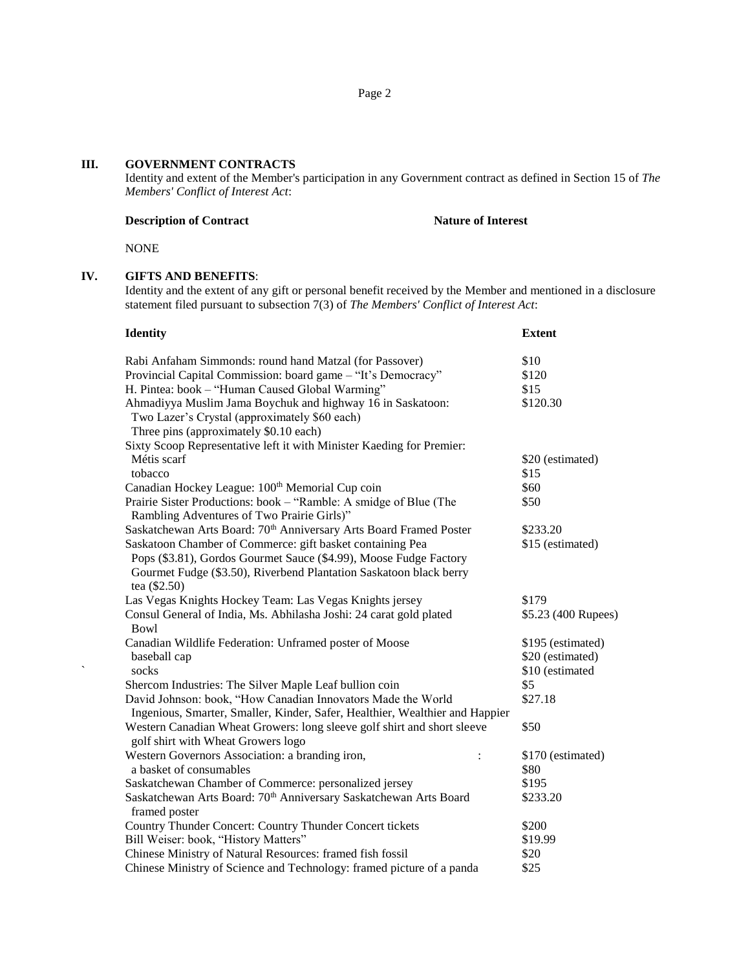## **III. GOVERNMENT CONTRACTS**

Identity and extent of the Member's participation in any Government contract as defined in Section 15 of *The Members' Conflict of Interest Act*:

## **Description of Contract Nature of Interest**

NONE

# **IV. GIFTS AND BENEFITS**:

Identity and the extent of any gift or personal benefit received by the Member and mentioned in a disclosure statement filed pursuant to subsection 7(3) of *The Members' Conflict of Interest Act*:

| <b>Identity</b>                                                                                                                                                                                      | <b>Extent</b>                                            |
|------------------------------------------------------------------------------------------------------------------------------------------------------------------------------------------------------|----------------------------------------------------------|
| Rabi Anfaham Simmonds: round hand Matzal (for Passover)                                                                                                                                              | \$10                                                     |
| Provincial Capital Commission: board game - "It's Democracy"                                                                                                                                         | \$120                                                    |
| H. Pintea: book – "Human Caused Global Warming"                                                                                                                                                      | \$15                                                     |
| Ahmadiyya Muslim Jama Boychuk and highway 16 in Saskatoon:<br>Two Lazer's Crystal (approximately \$60 each)<br>Three pins (approximately \$0.10 each)                                                | \$120.30                                                 |
| Sixty Scoop Representative left it with Minister Kaeding for Premier:                                                                                                                                |                                                          |
| Métis scarf                                                                                                                                                                                          | \$20 (estimated)                                         |
| tobacco                                                                                                                                                                                              | \$15                                                     |
| Canadian Hockey League: 100 <sup>th</sup> Memorial Cup coin                                                                                                                                          | \$60                                                     |
| Prairie Sister Productions: book - "Ramble: A smidge of Blue (The<br>Rambling Adventures of Two Prairie Girls)"                                                                                      | \$50                                                     |
| Saskatchewan Arts Board: 70 <sup>th</sup> Anniversary Arts Board Framed Poster                                                                                                                       | \$233.20                                                 |
| Saskatoon Chamber of Commerce: gift basket containing Pea<br>Pops (\$3.81), Gordos Gourmet Sauce (\$4.99), Moose Fudge Factory<br>Gourmet Fudge (\$3.50), Riverbend Plantation Saskatoon black berry | \$15 (estimated)                                         |
| tea (\$2.50)                                                                                                                                                                                         |                                                          |
| Las Vegas Knights Hockey Team: Las Vegas Knights jersey                                                                                                                                              | \$179                                                    |
| Consul General of India, Ms. Abhilasha Joshi: 24 carat gold plated<br><b>Bowl</b>                                                                                                                    | \$5.23 (400 Rupees)                                      |
| Canadian Wildlife Federation: Unframed poster of Moose<br>baseball cap<br>socks                                                                                                                      | \$195 (estimated)<br>\$20 (estimated)<br>\$10 (estimated |
| Shercom Industries: The Silver Maple Leaf bullion coin                                                                                                                                               | \$5                                                      |
| David Johnson: book, "How Canadian Innovators Made the World<br>Ingenious, Smarter, Smaller, Kinder, Safer, Healthier, Wealthier and Happier                                                         | \$27.18                                                  |
| Western Canadian Wheat Growers: long sleeve golf shirt and short sleeve<br>golf shirt with Wheat Growers logo                                                                                        | \$50                                                     |
| Western Governors Association: a branding iron,<br>$\ddot{\cdot}$<br>a basket of consumables                                                                                                         | \$170 (estimated)<br>\$80                                |
| Saskatchewan Chamber of Commerce: personalized jersey                                                                                                                                                | \$195                                                    |
| Saskatchewan Arts Board: 70 <sup>th</sup> Anniversary Saskatchewan Arts Board<br>framed poster                                                                                                       | \$233.20                                                 |
| Country Thunder Concert: Country Thunder Concert tickets                                                                                                                                             | \$200                                                    |
| Bill Weiser: book, "History Matters"                                                                                                                                                                 | \$19.99                                                  |
| Chinese Ministry of Natural Resources: framed fish fossil                                                                                                                                            | \$20                                                     |
| Chinese Ministry of Science and Technology: framed picture of a panda                                                                                                                                | \$25                                                     |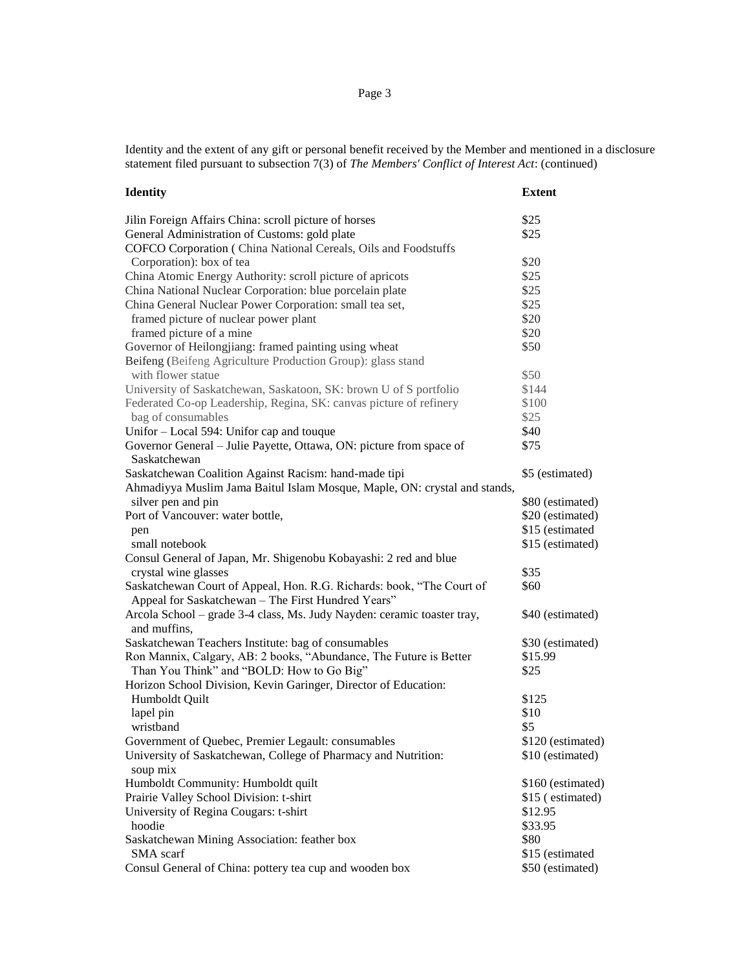Identity and the extent of any gift or personal benefit received by the Member and mentioned in a disclosure statement filed pursuant to subsection 7(3) of *The Members' Conflict of Interest Act*: (continued)

| <b>Identity</b>                                                           | <b>Extent</b>     |
|---------------------------------------------------------------------------|-------------------|
| Jilin Foreign Affairs China: scroll picture of horses                     | \$25              |
| General Administration of Customs: gold plate                             | \$25              |
| COFCO Corporation (China National Cereals, Oils and Foodstuffs            |                   |
| Corporation): box of tea                                                  | \$20              |
| China Atomic Energy Authority: scroll picture of apricots                 | \$25              |
| China National Nuclear Corporation: blue porcelain plate                  | \$25              |
| China General Nuclear Power Corporation: small tea set,                   | \$25              |
| framed picture of nuclear power plant                                     | \$20              |
| framed picture of a mine                                                  | \$20              |
| Governor of Heilongjiang: framed painting using wheat                     | \$50              |
| Beifeng (Beifeng Agriculture Production Group): glass stand               |                   |
| with flower statue                                                        | \$50              |
| University of Saskatchewan, Saskatoon, SK: brown U of S portfolio         | \$144             |
| Federated Co-op Leadership, Regina, SK: canvas picture of refinery        | \$100             |
| bag of consumables                                                        | \$25              |
| Unifor – Local 594: Unifor cap and touque                                 | \$40              |
| Governor General – Julie Payette, Ottawa, ON: picture from space of       | \$75              |
| Saskatchewan                                                              |                   |
| Saskatchewan Coalition Against Racism: hand-made tipi                     | \$5 (estimated)   |
| Ahmadiyya Muslim Jama Baitul Islam Mosque, Maple, ON: crystal and stands, |                   |
| silver pen and pin                                                        | \$80 (estimated)  |
| Port of Vancouver: water bottle,                                          | \$20 (estimated)  |
| pen                                                                       | \$15 (estimated   |
| small notebook                                                            | \$15 (estimated)  |
| Consul General of Japan, Mr. Shigenobu Kobayashi: 2 red and blue          |                   |
| crystal wine glasses                                                      | \$35              |
| Saskatchewan Court of Appeal, Hon. R.G. Richards: book, "The Court of     | \$60              |
| Appeal for Saskatchewan - The First Hundred Years"                        |                   |
| Arcola School - grade 3-4 class, Ms. Judy Nayden: ceramic toaster tray,   | \$40 (estimated)  |
| and muffins,                                                              |                   |
| Saskatchewan Teachers Institute: bag of consumables                       | \$30 (estimated)  |
| Ron Mannix, Calgary, AB: 2 books, "Abundance, The Future is Better        | \$15.99           |
| Than You Think" and "BOLD: How to Go Big"                                 | \$25              |
| Horizon School Division, Kevin Garinger, Director of Education:           |                   |
| Humboldt Quilt                                                            | \$125             |
| lapel pin                                                                 | \$10              |
| wristband                                                                 | \$5               |
| Government of Quebec, Premier Legault: consumables                        | \$120 (estimated) |
| University of Saskatchewan, College of Pharmacy and Nutrition:            | \$10 (estimated)  |
| soup mix                                                                  |                   |
| Humboldt Community: Humboldt quilt                                        | \$160 (estimated) |
| Prairie Valley School Division: t-shirt                                   | \$15 (estimated)  |
| University of Regina Cougars: t-shirt                                     | \$12.95           |
| hoodie                                                                    | \$33.95           |
| Saskatchewan Mining Association: feather box                              | \$80              |
| SMA scarf                                                                 | \$15 (estimated   |
| Consul General of China: pottery tea cup and wooden box                   |                   |
|                                                                           | \$50 (estimated)  |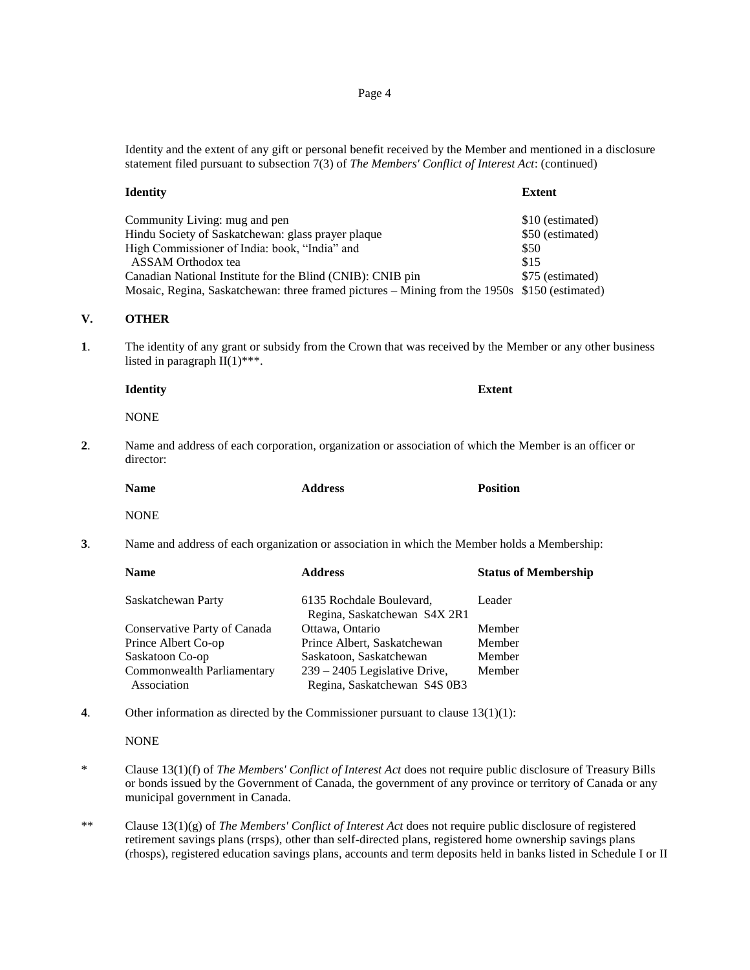Identity and the extent of any gift or personal benefit received by the Member and mentioned in a disclosure statement filed pursuant to subsection 7(3) of *The Members' Conflict of Interest Act*: (continued)

| <b>Identity</b>                                                                               | <b>Extent</b>    |
|-----------------------------------------------------------------------------------------------|------------------|
| Community Living: mug and pen                                                                 | \$10 (estimated) |
| Hindu Society of Saskatchewan: glass prayer plaque                                            | \$50 (estimated) |
| High Commissioner of India: book, "India" and                                                 | \$50             |
| ASSAM Orthodox tea                                                                            | \$15             |
| Canadian National Institute for the Blind (CNIB): CNIB pin                                    | \$75 (estimated) |
| Mosaic, Regina, Saskatchewan: three framed pictures – Mining from the 1950s \$150 (estimated) |                  |

## **V. OTHER**

**1**. The identity of any grant or subsidy from the Crown that was received by the Member or any other business listed in paragraph  $II(1)$ <sup>\*\*\*</sup>.

**Identity Extent**

NONE

**2**. Name and address of each corporation, organization or association of which the Member is an officer or director:

| <b>Name</b> | <b>Address</b> | <b>Position</b> |
|-------------|----------------|-----------------|
|             |                |                 |

NONE

**3**. Name and address of each organization or association in which the Member holds a Membership:

| <b>Name</b>                  | <b>Address</b>                  | <b>Status of Membership</b> |
|------------------------------|---------------------------------|-----------------------------|
| Saskatchewan Party           | 6135 Rochdale Boulevard,        | Leader                      |
|                              | Regina, Saskatchewan S4X 2R1    |                             |
| Conservative Party of Canada | Ottawa, Ontario                 | Member                      |
| Prince Albert Co-op          | Prince Albert, Saskatchewan     | Member                      |
| Saskatoon Co-op              | Saskatoon, Saskatchewan         | Member                      |
| Commonwealth Parliamentary   | $239 - 2405$ Legislative Drive, | Member                      |
| Association                  | Regina, Saskatchewan S4S 0B3    |                             |

**4**. Other information as directed by the Commissioner pursuant to clause 13(1)(1):

#### **NONE**

- \* Clause 13(1)(f) of *The Members' Conflict of Interest Act* does not require public disclosure of Treasury Bills or bonds issued by the Government of Canada, the government of any province or territory of Canada or any municipal government in Canada.
- \*\* Clause 13(1)(g) of *The Members' Conflict of Interest Act* does not require public disclosure of registered retirement savings plans (rrsps), other than self-directed plans, registered home ownership savings plans (rhosps), registered education savings plans, accounts and term deposits held in banks listed in Schedule I or II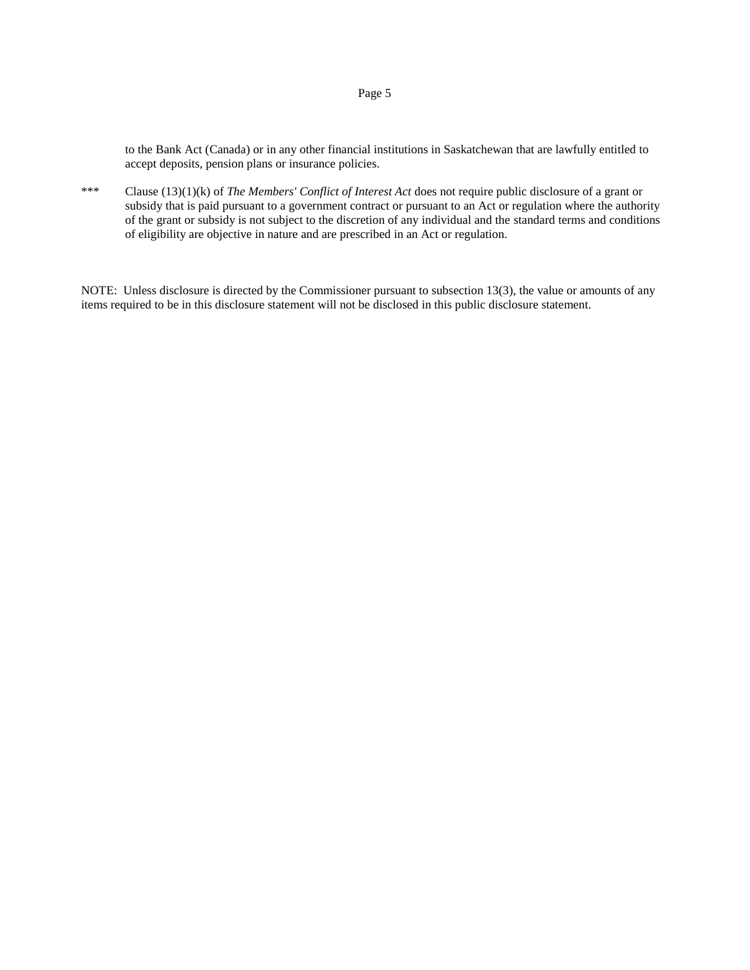to the Bank Act (Canada) or in any other financial institutions in Saskatchewan that are lawfully entitled to accept deposits, pension plans or insurance policies.

\*\*\* Clause (13)(1)(k) of *The Members' Conflict of Interest Act* does not require public disclosure of a grant or subsidy that is paid pursuant to a government contract or pursuant to an Act or regulation where the authority of the grant or subsidy is not subject to the discretion of any individual and the standard terms and conditions of eligibility are objective in nature and are prescribed in an Act or regulation.

NOTE: Unless disclosure is directed by the Commissioner pursuant to subsection 13(3), the value or amounts of any items required to be in this disclosure statement will not be disclosed in this public disclosure statement.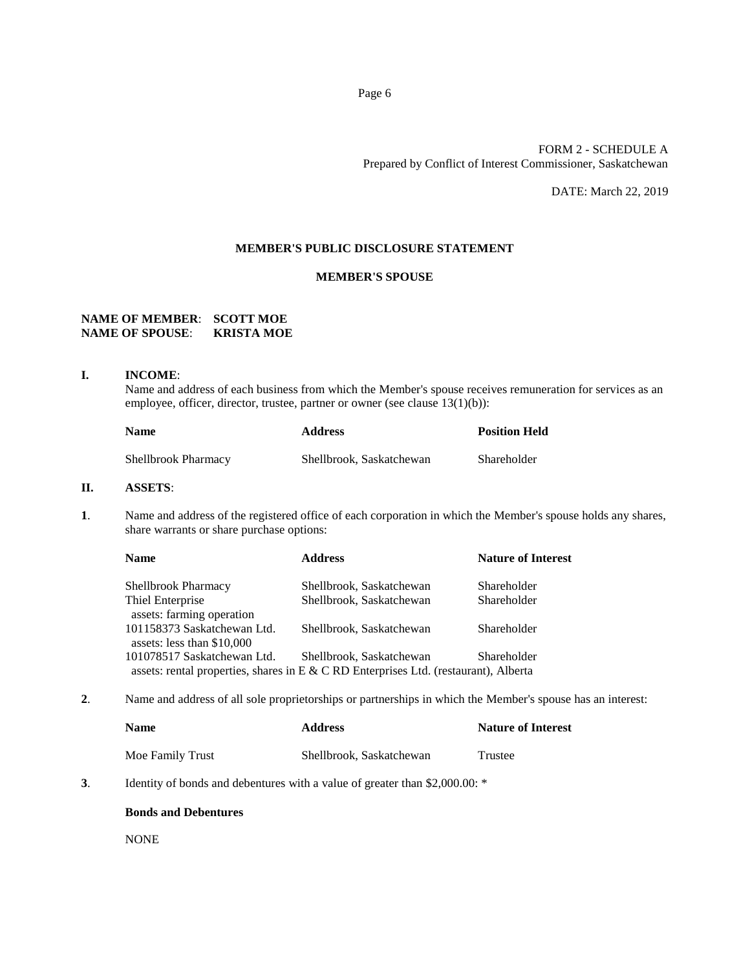# FORM 2 - SCHEDULE A Prepared by Conflict of Interest Commissioner, Saskatchewan

DATE: March 22, 2019

# **MEMBER'S PUBLIC DISCLOSURE STATEMENT**

## **MEMBER'S SPOUSE**

# **NAME OF MEMBER**: **SCOTT MOE NAME OF SPOUSE**: **KRISTA MOE**

### **I. INCOME**:

Name and address of each business from which the Member's spouse receives remuneration for services as an employee, officer, director, trustee, partner or owner (see clause 13(1)(b)):

| <b>Name</b>         | <b>Address</b>           | <b>Position Held</b> |
|---------------------|--------------------------|----------------------|
| Shellbrook Pharmacy | Shellbrook, Saskatchewan | Shareholder          |

# **II. ASSETS**:

**1**. Name and address of the registered office of each corporation in which the Member's spouse holds any shares, share warrants or share purchase options:

| <b>Name</b>                                               | <b>Address</b>                                                                       | <b>Nature of Interest</b> |
|-----------------------------------------------------------|--------------------------------------------------------------------------------------|---------------------------|
| <b>Shellbrook Pharmacy</b>                                | Shellbrook, Saskatchewan                                                             | Shareholder               |
| Thiel Enterprise<br>assets: farming operation             | Shellbrook, Saskatchewan                                                             | Shareholder               |
| 101158373 Saskatchewan Ltd.<br>assets: less than \$10,000 | Shellbrook, Saskatchewan                                                             | Shareholder               |
| 101078517 Saskatchewan Ltd.                               | Shellbrook, Saskatchewan                                                             | Shareholder               |
|                                                           | assets: rental properties, shares in E & C RD Enterprises Ltd. (restaurant), Alberta |                           |

**2**. Name and address of all sole proprietorships or partnerships in which the Member's spouse has an interest:

| Name             | <b>Address</b>           | <b>Nature of Interest</b> |
|------------------|--------------------------|---------------------------|
| Moe Family Trust | Shellbrook, Saskatchewan | Trustee                   |

**3**. Identity of bonds and debentures with a value of greater than \$2,000.00: \*

#### **Bonds and Debentures**

NONE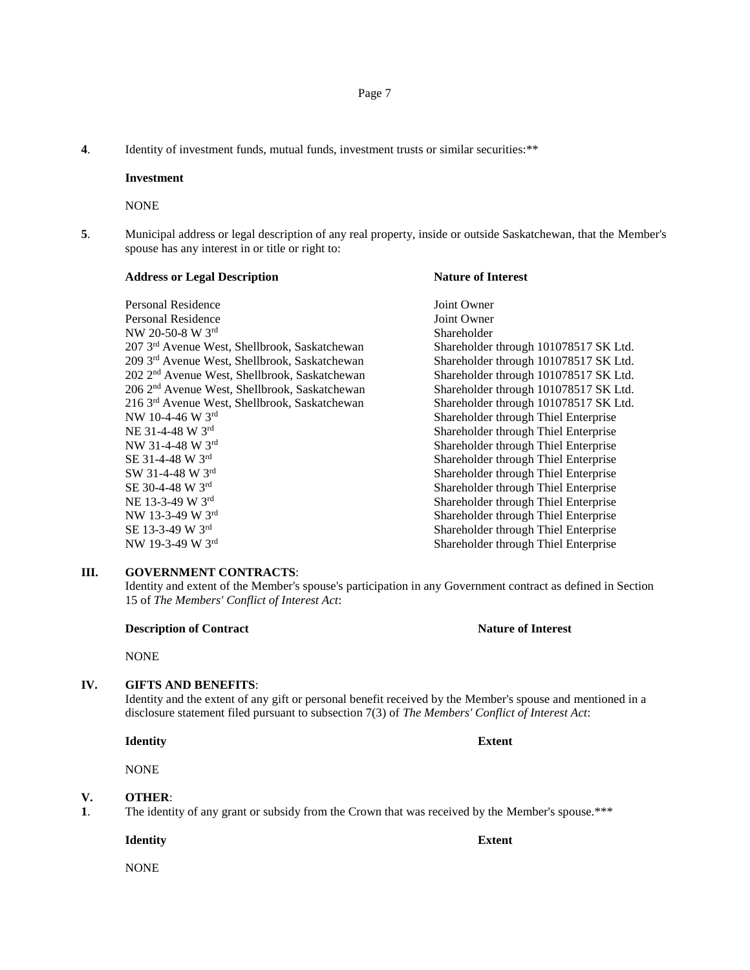**4**. Identity of investment funds, mutual funds, investment trusts or similar securities:\*\*

#### **Investment**

NONE

**5**. Municipal address or legal description of any real property, inside or outside Saskatchewan, that the Member's spouse has any interest in or title or right to:

| <b>Address or Legal Description</b>                       | <b>Nature of Interest</b>             |
|-----------------------------------------------------------|---------------------------------------|
| Personal Residence                                        | Joint Owner                           |
| Personal Residence                                        | Joint Owner                           |
| NW 20-50-8 W 3rd                                          | Shareholder                           |
| 207 3rd Avenue West, Shellbrook, Saskatchewan             | Shareholder through 101078517 SK Ltd. |
| 209 3rd Avenue West, Shellbrook, Saskatchewan             | Shareholder through 101078517 SK Ltd. |
| 202 2 <sup>nd</sup> Avenue West, Shellbrook, Saskatchewan | Shareholder through 101078517 SK Ltd. |
| 206 2 <sup>nd</sup> Avenue West, Shellbrook, Saskatchewan | Shareholder through 101078517 SK Ltd. |
| 216 3rd Avenue West, Shellbrook, Saskatchewan             | Shareholder through 101078517 SK Ltd. |
| NW 10-4-46 W 3rd                                          | Shareholder through Thiel Enterprise  |
| NE 31-4-48 W 3rd                                          | Shareholder through Thiel Enterprise  |
| NW 31-4-48 W 3rd                                          | Shareholder through Thiel Enterprise  |
| SE 31-4-48 W 3rd                                          | Shareholder through Thiel Enterprise  |
| SW 31-4-48 W 3rd                                          | Shareholder through Thiel Enterprise  |
| SE 30-4-48 W 3rd                                          | Shareholder through Thiel Enterprise  |
| NE 13-3-49 W 3rd                                          | Shareholder through Thiel Enterprise  |
| NW 13-3-49 W 3rd                                          | Shareholder through Thiel Enterprise  |
| SE 13-3-49 W 3rd                                          | Shareholder through Thiel Enterprise  |
| NW 19-3-49 W 3rd                                          | Shareholder through Thiel Enterprise  |

# **III. GOVERNMENT CONTRACTS**:

Identity and extent of the Member's spouse's participation in any Government contract as defined in Section 15 of *The Members' Conflict of Interest Act*:

# **Description of Contract Nature of Interest**

NONE

## **IV. GIFTS AND BENEFITS**:

Identity and the extent of any gift or personal benefit received by the Member's spouse and mentioned in a disclosure statement filed pursuant to subsection 7(3) of *The Members' Conflict of Interest Act*:

**Identity Extent**

NONE

#### **V. OTHER**:

**1**. The identity of any grant or subsidy from the Crown that was received by the Member's spouse.\*\*\*

**Identity Extent**

NONE